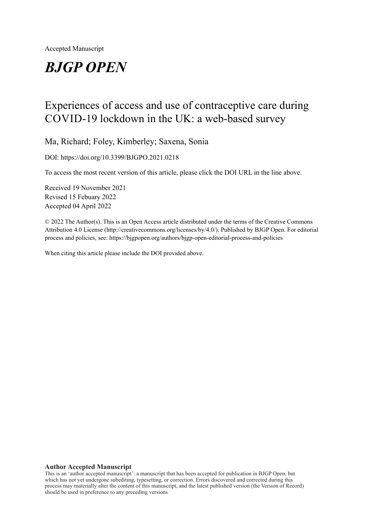# *BJGP OPEN*

## Experiences of access and use of contraceptive care during COVID-19 lockdown in the UK: a web-based survey

Ma, Richard; Foley, Kimberley; Saxena, Sonia

DOI: https://doi.org/10.3399/BJGPO.2021.0218

To access the most recent version of this article, please click the DOI URL in the line above.

Received 19 November 2021 Revised 15 Febuary 2022 Accepted 04 April 2022

© 2022 The Author(s). This is an Open Access article distributed under the terms of the Creative Commons Attribution 4.0 License (http://creativecommons.org/licenses/by/4.0/). Published by BJGP Open. For editorial process and policies, see: https://bjgpopen.org/authors/bjgp-open-editorial-process-and-policies

When citing this article please include the DOI provided above.

#### **Author Accepted Manuscript**

This is an 'author accepted manuscript': a manuscript that has been accepted for publication in BJGP Open, but which has not yet undergone subediting, typesetting, or correction. Errors discovered and corrected during this process may materially alter the content of this manuscript, and the latest published version (the Version of Record) should be used in preference to any preceding versions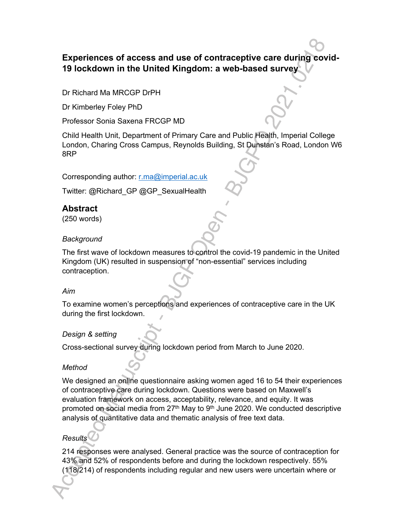## **Experiences of access and use of contraceptive care during covid-19 lockdown in the United Kingdom: a web-based survey**

Dr Richard Ma MRCGP DrPH

Dr Kimberley Foley PhD

Professor Sonia Saxena FRCGP MD

Child Health Unit, Department of Primary Care and Public Health, Imperial College London, Charing Cross Campus, Reynolds Building, St Dunstan's Road, London W6 8RP

Corresponding author: r.ma@imperial.ac.uk

Twitter: @Richard\_GP @GP\_SexualHealth

## **Abstract**

(250 words)

#### *Background*

The first wave of lockdown measures to control the covid-19 pandemic in the United Kingdom (UK) resulted in suspension of "non-essential" services including contraception.

#### *Aim*

To examine women's perceptions and experiences of contraceptive care in the UK during the first lockdown.

#### *Design & setting*

Cross-sectional survey during lockdown period from March to June 2020.

#### *Method*

We designed an online questionnaire asking women aged 16 to 54 their experiences of contraceptive care during lockdown. Questions were based on Maxwell's evaluation framework on access, acceptability, relevance, and equity. It was promoted on social media from  $27<sup>th</sup>$  May to  $9<sup>th</sup>$  June 2020. We conducted descriptive analysis of quantitative data and thematic analysis of free text data.

#### *Results*

214 responses were analysed. General practice was the source of contraception for 43% and 52% of respondents before and during the lockdown respectively. 55% (118/214) of respondents including regular and new users were uncertain where or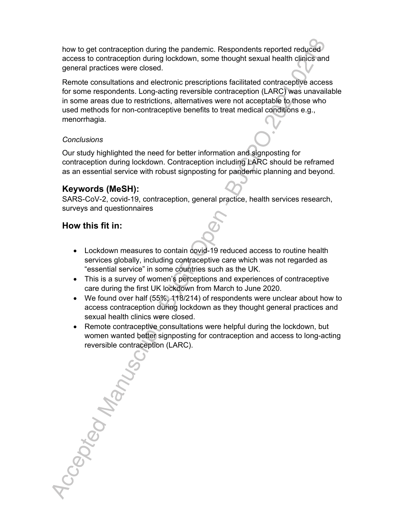how to get contraception during the pandemic. Respondents reported reduced access to contraception during lockdown, some thought sexual health clinics and general practices were closed.

Remote consultations and electronic prescriptions facilitated contraceptive access for some respondents. Long-acting reversible contraception (LARC) was unavailable in some areas due to restrictions, alternatives were not acceptable to those who used methods for non-contraceptive benefits to treat medical conditions e.g., menorrhagia.

#### *Conclusions*

Our study highlighted the need for better information and signposting for contraception during lockdown. Contraception including LARC should be reframed as an essential service with robust signposting for pandemic planning and beyond.

## **Keywords (MeSH):**

SARS-CoV-2, covid-19, contraception, general practice, health services research, surveys and questionnaires

## **How this fit in:**

- Lockdown measures to contain covid-19 reduced access to routine health services globally, including contraceptive care which was not regarded as "essential service" in some countries such as the UK.
- This is a survey of women's perceptions and experiences of contraceptive care during the first UK lockdown from March to June 2020.
- We found over half (55%, 118/214) of respondents were unclear about how to access contraception during lockdown as they thought general practices and sexual health clinics were closed.
- Remote contraceptive consultations were helpful during the lockdown, but women wanted better signposting for contraception and access to long-acting reversible contraception (LARC).

Accaption Manusc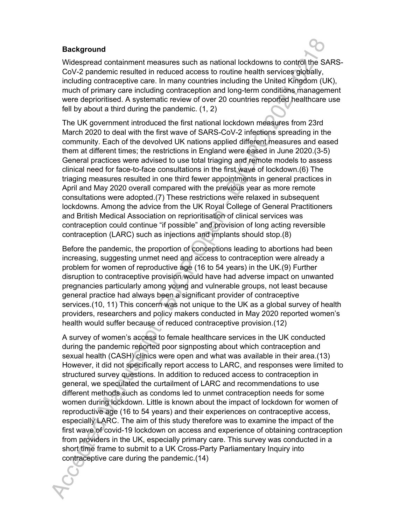#### **Background**

Widespread containment measures such as national lockdowns to control the SARS-CoV-2 pandemic resulted in reduced access to routine health services globally, including contraceptive care. In many countries including the United Kingdom (UK), much of primary care including contraception and long-term conditions management were deprioritised. A systematic review of over 20 countries reported healthcare use fell by about a third during the pandemic. (1, 2)

The UK government introduced the first national lockdown measures from 23rd March 2020 to deal with the first wave of SARS-CoV-2 infections spreading in the community. Each of the devolved UK nations applied different measures and eased them at different times; the restrictions in England were eased in June 2020.(3-5) General practices were advised to use total triaging and remote models to assess clinical need for face-to-face consultations in the first wave of lockdown.(6) The triaging measures resulted in one third fewer appointments in general practices in April and May 2020 overall compared with the previous year as more remote consultations were adopted.(7) These restrictions were relaxed in subsequent lockdowns. Among the advice from the UK Royal College of General Practitioners and British Medical Association on reprioritisation of clinical services was contraception could continue "if possible" and provision of long acting reversible contraception (LARC) such as injections and implants should stop.(8)

Before the pandemic, the proportion of conceptions leading to abortions had been increasing, suggesting unmet need and access to contraception were already a problem for women of reproductive age (16 to 54 years) in the UK.(9) Further disruption to contraceptive provision would have had adverse impact on unwanted pregnancies particularly among young and vulnerable groups, not least because general practice had always been a significant provider of contraceptive services.(10, 11) This concern was not unique to the UK as a global survey of health providers, researchers and policy makers conducted in May 2020 reported women's health would suffer because of reduced contraceptive provision.(12)

A survey of women's access to female healthcare services in the UK conducted during the pandemic reported poor signposting about which contraception and sexual health (CASH) clinics were open and what was available in their area.(13) However, it did not specifically report access to LARC, and responses were limited to structured survey questions. In addition to reduced access to contraception in general, we speculated the curtailment of LARC and recommendations to use different methods such as condoms led to unmet contraception needs for some women during lockdown. Little is known about the impact of lockdown for women of reproductive age (16 to 54 years) and their experiences on contraceptive access, especially LARC. The aim of this study therefore was to examine the impact of the first wave of covid-19 lockdown on access and experience of obtaining contraception from providers in the UK, especially primary care. This survey was conducted in a short time frame to submit to a UK Cross-Party Parliamentary Inquiry into contraceptive care during the pandemic.(14)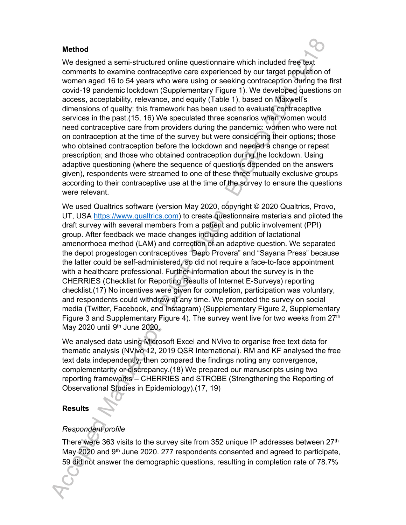#### **Method**

We designed a semi-structured online questionnaire which included free text comments to examine contraceptive care experienced by our target population of women aged 16 to 54 years who were using or seeking contraception during the first covid-19 pandemic lockdown (Supplementary Figure 1). We developed questions on access, acceptability, relevance, and equity (Table 1), based on Maxwell's dimensions of quality; this framework has been used to evaluate contraceptive services in the past.(15, 16) We speculated three scenarios when women would need contraceptive care from providers during the pandemic: women who were not on contraception at the time of the survey but were considering their options; those who obtained contraception before the lockdown and needed a change or repeat prescription; and those who obtained contraception during the lockdown. Using adaptive questioning (where the sequence of questions depended on the answers given), respondents were streamed to one of these three mutually exclusive groups according to their contraceptive use at the time of the survey to ensure the questions were relevant.

We used Qualtrics software (version May 2020, copyright © 2020 Qualtrics, Provo, UT, USA https://www.qualtrics.com) to create questionnaire materials and piloted the draft survey with several members from a patient and public involvement (PPI) group. After feedback we made changes including addition of lactational amenorrhoea method (LAM) and correction of an adaptive question. We separated the depot progestogen contraceptives "Depo Provera" and "Sayana Press" because the latter could be self-administered, so did not require a face-to-face appointment with a healthcare professional. Further information about the survey is in the CHERRIES (Checklist for Reporting Results of Internet E-Surveys) reporting checklist.(17) No incentives were given for completion, participation was voluntary, and respondents could withdraw at any time. We promoted the survey on social media (Twitter, Facebook, and Instagram) (Supplementary Figure 2, Supplementary Figure 3 and Supplementary Figure 4). The survey went live for two weeks from 27<sup>th</sup> May 2020 until  $9<sup>th</sup>$  June 2020.

We analysed data using Microsoft Excel and NVivo to organise free text data for thematic analysis (NVivo 12, 2019 QSR International). RM and KF analysed the free text data independently, then compared the findings noting any convergence, complementarity or discrepancy.(18) We prepared our manuscripts using two reporting frameworks – CHERRIES and STROBE (Strengthening the Reporting of Observational Studies in Epidemiology).(17, 19)

#### **Results**

#### *Respondent profile*

There were 363 visits to the survey site from 352 unique IP addresses between 27th May 2020 and 9<sup>th</sup> June 2020. 277 respondents consented and agreed to participate, 59 did not answer the demographic questions, resulting in completion rate of 78.7%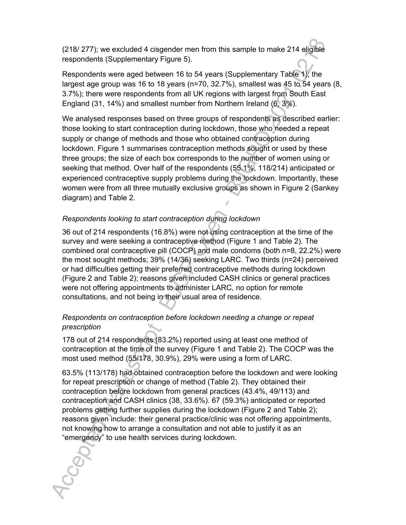(218/ 277); we excluded 4 cisgender men from this sample to make 214 eligible respondents (Supplementary Figure 5).

Respondents were aged between 16 to 54 years (Supplementary Table 1); the largest age group was 16 to 18 years (n=70, 32.7%), smallest was 45 to 54 years (8, 3.7%); there were respondents from all UK regions with largest from South East England (31, 14%) and smallest number from Northern Ireland (6, 3%).

We analysed responses based on three groups of respondents as described earlier: those looking to start contraception during lockdown, those who needed a repeat supply or change of methods and those who obtained contraception during lockdown. Figure 1 summarises contraception methods sought or used by these three groups; the size of each box corresponds to the number of women using or seeking that method. Over half of the respondents (55.1%, 118/214) anticipated or experienced contraceptive supply problems during the lockdown. Importantly, these women were from all three mutually exclusive groups as shown in Figure 2 (Sankey diagram) and Table 2.

## *Respondents looking to start contraception during lockdown*

36 out of 214 respondents (16.8%) were not using contraception at the time of the survey and were seeking a contraceptive method (Figure 1 and Table 2). The combined oral contraceptive pill (COCP) and male condoms (both n=8, 22.2%) were the most sought methods; 39% (14/36) seeking LARC. Two thirds (n=24) perceived or had difficulties getting their preferred contraceptive methods during lockdown (Figure 2 and Table 2); reasons given included CASH clinics or general practices were not offering appointments to administer LARC, no option for remote consultations, and not being in their usual area of residence.

#### *Respondents on contraception before lockdown needing a change or repeat prescription*

178 out of 214 respondents (83.2%) reported using at least one method of contraception at the time of the survey (Figure 1 and Table 2). The COCP was the most used method (55/178, 30.9%), 29% were using a form of LARC.

63.5% (113/178) had obtained contraception before the lockdown and were looking for repeat prescription or change of method (Table 2). They obtained their contraception before lockdown from general practices (43.4%, 49/113) and contraception and CASH clinics (38, 33.6%). 67 (59.3%) anticipated or reported problems getting further supplies during the lockdown (Figure 2 and Table 2); reasons given include: their general practice/clinic was not offering appointments, not knowing how to arrange a consultation and not able to justify it as an "emergency" to use health services during lockdown.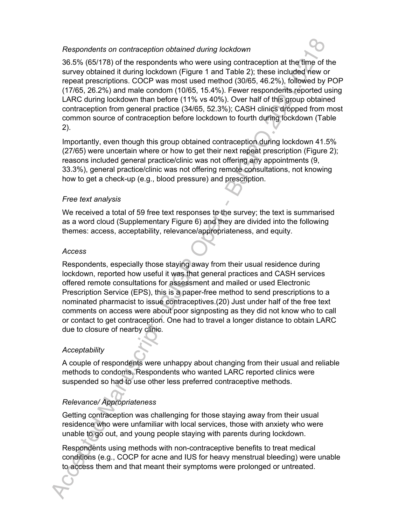#### *Respondents on contraception obtained during lockdown*

36.5% (65/178) of the respondents who were using contraception at the time of the survey obtained it during lockdown (Figure 1 and Table 2); these included new or repeat prescriptions. COCP was most used method (30/65, 46.2%), followed by POP (17/65, 26.2%) and male condom (10/65, 15.4%). Fewer respondents reported using LARC during lockdown than before (11% vs 40%). Over half of this group obtained contraception from general practice (34/65, 52.3%); CASH clinics dropped from most common source of contraception before lockdown to fourth during lockdown (Table 2).

Importantly, even though this group obtained contraception during lockdown 41.5% (27/65) were uncertain where or how to get their next repeat prescription (Figure 2); reasons included general practice/clinic was not offering any appointments (9, 33.3%), general practice/clinic was not offering remote consultations, not knowing how to get a check-up (e.g., blood pressure) and prescription.

#### *Free text analysis*

We received a total of 59 free text responses to the survey; the text is summarised as a word cloud (Supplementary Figure 6) and they are divided into the following themes: access, acceptability, relevance/appropriateness, and equity.

#### *Access*

Respondents, especially those staying away from their usual residence during lockdown, reported how useful it was that general practices and CASH services offered remote consultations for assessment and mailed or used Electronic Prescription Service (EPS), this is a paper-free method to send prescriptions to a nominated pharmacist to issue contraceptives.(20) Just under half of the free text comments on access were about poor signposting as they did not know who to call or contact to get contraception. One had to travel a longer distance to obtain LARC due to closure of nearby clinic.

#### *Acceptability*

A couple of respondents were unhappy about changing from their usual and reliable methods to condoms. Respondents who wanted LARC reported clinics were suspended so had to use other less preferred contraceptive methods.

## *Relevance/ Appropriateness*

Getting contraception was challenging for those staying away from their usual residence who were unfamiliar with local services, those with anxiety who were unable to go out, and young people staying with parents during lockdown.

Respondents using methods with non-contraceptive benefits to treat medical conditions (e.g., COCP for acne and IUS for heavy menstrual bleeding) were unable to access them and that meant their symptoms were prolonged or untreated.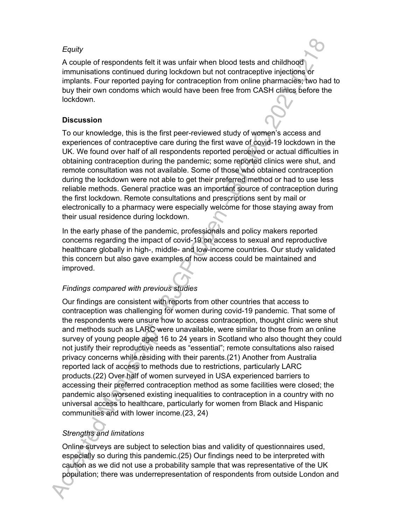#### *Equity*

A couple of respondents felt it was unfair when blood tests and childhood immunisations continued during lockdown but not contraceptive injections or implants. Four reported paying for contraception from online pharmacies; two had to buy their own condoms which would have been free from CASH clinics before the lockdown.

## **Discussion**

To our knowledge, this is the first peer-reviewed study of women's access and experiences of contraceptive care during the first wave of covid-19 lockdown in the UK. We found over half of all respondents reported perceived or actual difficulties in obtaining contraception during the pandemic; some reported clinics were shut, and remote consultation was not available. Some of those who obtained contraception during the lockdown were not able to get their preferred method or had to use less reliable methods. General practice was an important source of contraception during the first lockdown. Remote consultations and prescriptions sent by mail or electronically to a pharmacy were especially welcome for those staying away from their usual residence during lockdown.

In the early phase of the pandemic, professionals and policy makers reported concerns regarding the impact of covid-19 on access to sexual and reproductive healthcare globally in high-, middle- and low-income countries. Our study validated this concern but also gave examples of how access could be maintained and improved.

## *Findings compared with previous studies*

Our findings are consistent with reports from other countries that access to contraception was challenging for women during covid-19 pandemic. That some of the respondents were unsure how to access contraception, thought clinic were shut and methods such as LARC were unavailable, were similar to those from an online survey of young people aged 16 to 24 years in Scotland who also thought they could not justify their reproductive needs as "essential"; remote consultations also raised privacy concerns while residing with their parents.(21) Another from Australia reported lack of access to methods due to restrictions, particularly LARC products.(22) Over half of women surveyed in USA experienced barriers to accessing their preferred contraception method as some facilities were closed; the pandemic also worsened existing inequalities to contraception in a country with no universal access to healthcare, particularly for women from Black and Hispanic communities and with lower income.(23, 24)

## *Strengths and limitations*

Online surveys are subject to selection bias and validity of questionnaires used, especially so during this pandemic.(25) Our findings need to be interpreted with caution as we did not use a probability sample that was representative of the UK population; there was underrepresentation of respondents from outside London and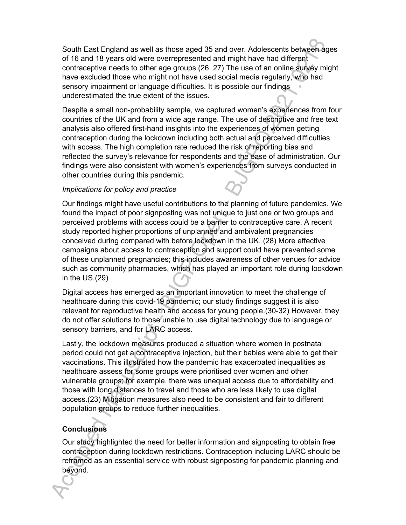South East England as well as those aged 35 and over. Adolescents between ages of 16 and 18 years old were overrepresented and might have had different contraceptive needs to other age groups.(26, 27) The use of an online survey might have excluded those who might not have used social media regularly, who had sensory impairment or language difficulties. It is possible our findings underestimated the true extent of the issues.

Despite a small non-probability sample, we captured women's experiences from four countries of the UK and from a wide age range. The use of descriptive and free text analysis also offered first-hand insights into the experiences of women getting contraception during the lockdown including both actual and perceived difficulties with access. The high completion rate reduced the risk of reporting bias and reflected the survey's relevance for respondents and the ease of administration. Our findings were also consistent with women's experiences from surveys conducted in other countries during this pandemic.

#### *Implications for policy and practice*

Our findings might have useful contributions to the planning of future pandemics. We found the impact of poor signposting was not unique to just one or two groups and perceived problems with access could be a barrier to contraceptive care. A recent study reported higher proportions of unplanned and ambivalent pregnancies conceived during compared with before lockdown in the UK. (28) More effective campaigns about access to contraception and support could have prevented some of these unplanned pregnancies; this includes awareness of other venues for advice such as community pharmacies, which has played an important role during lockdown in the US.(29)

Digital access has emerged as an important innovation to meet the challenge of healthcare during this covid-19 pandemic; our study findings suggest it is also relevant for reproductive health and access for young people.(30-32) However, they do not offer solutions to those unable to use digital technology due to language or sensory barriers, and for LARC access.

Lastly, the lockdown measures produced a situation where women in postnatal period could not get a contraceptive injection, but their babies were able to get their vaccinations. This illustrated how the pandemic has exacerbated inequalities as healthcare assess for some groups were prioritised over women and other vulnerable groups; for example, there was unequal access due to affordability and those with long distances to travel and those who are less likely to use digital access.(23) Mitigation measures also need to be consistent and fair to different population groups to reduce further inequalities.

## **Conclusions**

Our study highlighted the need for better information and signposting to obtain free contraception during lockdown restrictions. Contraception including LARC should be reframed as an essential service with robust signposting for pandemic planning and beyond.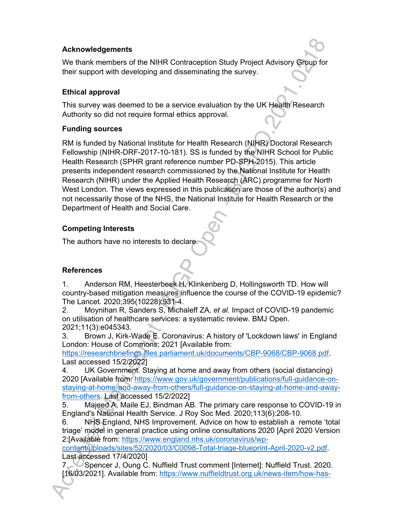#### **Acknowledgements**

We thank members of the NIHR Contraception Study Project Advisory Group for their support with developing and disseminating the survey.

#### **Ethical approval**

This survey was deemed to be a service evaluation by the UK Health Research Authority so did not require formal ethics approval.

#### **Funding sources**

RM is funded by National Institute for Health Research (NIHR) Doctoral Research Fellowship (NIHR-DRF-2017-10-181). SS is funded by the NIHR School for Public Health Research (SPHR grant reference number PD-SPH-2015). This article presents independent research commissioned by the National Institute for Health Research (NIHR) under the Applied Health Research (ARC) programme for North West London. The views expressed in this publication are those of the author(s) and not necessarily those of the NHS, the National Institute for Health Research or the Department of Health and Social Care.

## **Competing Interests**

The authors have no interests to declare.

## **References**

1. Anderson RM, Heesterbeek H, Klinkenberg D, Hollingsworth TD. How will country-based mitigation measures influence the course of the COVID-19 epidemic? The Lancet. 2020;395(10228):931-4.

2. Moynihan R, Sanders S, Michaleff ZA*, et al.* Impact of COVID-19 pandemic on utilisation of healthcare services: a systematic review. BMJ Open. 2021;11(3):e045343.

3. Brown J, Kirk-Wade E. Coronavirus: A history of 'Lockdown laws' in England London: House of Commons; 2021 [Available from:

https://researchbriefings.files.parliament.uk/documents/CBP-9068/CBP-9068.pdf. Last accessed 15/2/2022]

4. UK Government. Staying at home and away from others (social distancing) 2020 [Available from: https://www.gov.uk/government/publications/full-guidance-onstaying-at-home-and-away-from-others/full-guidance-on-staying-at-home-and-awayfrom-others. Last accessed 15/2/2022]

5. Majeed A, Maile EJ, Bindman AB. The primary care response to COVID-19 in England's National Health Service. J Roy Soc Med. 2020;113(6):208-10.

6. NHS England, NHS Improvement. Advice on how to establish a remote 'total triage' model in general practice using online consultations 2020 [April 2020 Version 2:[Available from: https://www.england.nhs.uk/coronavirus/wp-

content/uploads/sites/52/2020/03/C0098-Total-triage-blueprint-April-2020-v2.pdf. Last accessed 17/4/2020]

7. Spencer J, Oung C. Nuffield Trust comment [Internet]: Nuffield Trust. 2020. [16/03/2021]. Available from: https://www.nuffieldtrust.org.uk/news-item/how-has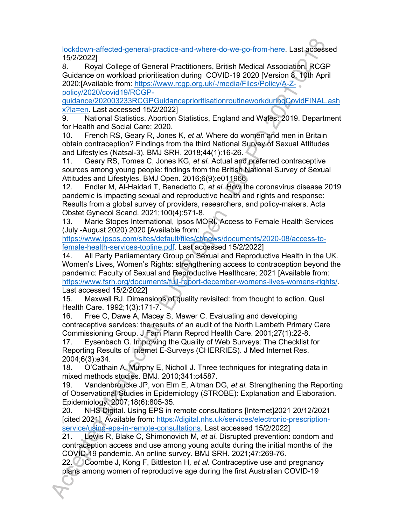lockdown-affected-general-practice-and-where-do-we-go-from-here. Last accessed 15/2/2022]

8. Royal College of General Practitioners, British Medical Association. RCGP Guidance on workload prioritisation during COVID-19 2020 [Version 8, 10th April 2020:[Available from: https://www.rcgp.org.uk/-/media/Files/Policy/A-Zpolicy/2020/covid19/RCGP-

guidance/202003233RCGPGuidanceprioritisationroutineworkduringCovidFINAL.ash x?la=en. Last accessed 15/2/2022]

9. National Statistics. Abortion Statistics, England and Wales: 2019. Department for Health and Social Care; 2020.

10. French RS, Geary R, Jones K*, et al.* Where do women and men in Britain obtain contraception? Findings from the third National Survey of Sexual Attitudes and Lifestyles (Natsal-3). BMJ SRH. 2018;44(1):16-26.

11. Geary RS, Tomes C, Jones KG*, et al.* Actual and preferred contraceptive sources among young people: findings from the British National Survey of Sexual Attitudes and Lifestyles. BMJ Open. 2016;6(9):e011966.

12. Endler M, Al-Haidari T, Benedetto C*, et al.* How the coronavirus disease 2019 pandemic is impacting sexual and reproductive health and rights and response: Results from a global survey of providers, researchers, and policy-makers. Acta Obstet Gynecol Scand. 2021;100(4):571-8.

13. Marie Stopes International, Ipsos MORI. Access to Female Health Services (July -August 2020) 2020 [Available from:

https://www.ipsos.com/sites/default/files/ct/news/documents/2020-08/access-tofemale-health-services-topline.pdf. Last accessed 15/2/2022]

14. All Party Parliamentary Group on Sexual and Reproductive Health in the UK. Women's Lives, Women's Rights: strengthening access to contraception beyond the pandemic: Faculty of Sexual and Reproductive Healthcare; 2021 [Available from: https://www.fsrh.org/documents/full-report-december-womens-lives-womens-rights/.

Last accessed 15/2/2022]

15. Maxwell RJ. Dimensions of quality revisited: from thought to action. Qual Health Care. 1992;1(3):171-7.

16. Free C, Dawe A, Macey S, Mawer C. Evaluating and developing contraceptive services: the results of an audit of the North Lambeth Primary Care Commissioning Group. J Fam Plann Reprod Health Care. 2001;27(1):22-8.

17. Eysenbach G. Improving the Quality of Web Surveys: The Checklist for Reporting Results of Internet E-Surveys (CHERRIES). J Med Internet Res. 2004;6(3):e34.

18. O'Cathain A, Murphy E, Nicholl J. Three techniques for integrating data in mixed methods studies. BMJ. 2010;341:c4587.

19. Vandenbroucke JP, von Elm E, Altman DG*, et al.* Strengthening the Reporting of Observational Studies in Epidemiology (STROBE): Explanation and Elaboration. Epidemiology. 2007;18(6):805-35.

20. NHS Digital. Using EPS in remote consultations [Internet]2021 20/12/2021 [cited 2021]. Available from: https://digital.nhs.uk/services/electronic-prescriptionservice/using-eps-in-remote-consultations. Last accessed 15/2/2022]

21. Lewis R, Blake C, Shimonovich M*, et al.* Disrupted prevention: condom and contraception access and use among young adults during the initial months of the COVID-19 pandemic. An online survey. BMJ SRH. 2021;47:269-76.

22. Coombe J, Kong F, Bittleston H*, et al.* Contraceptive use and pregnancy plans among women of reproductive age during the first Australian COVID-19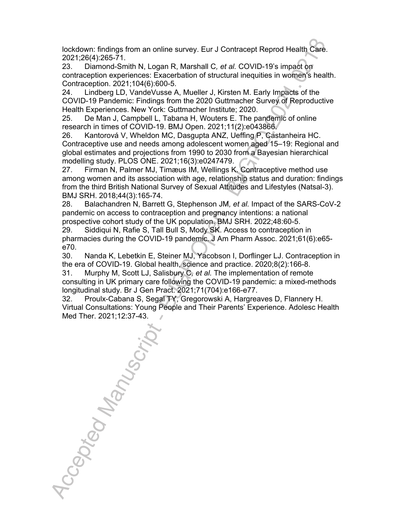lockdown: findings from an online survey. Eur J Contracept Reprod Health Care. 2021;26(4):265-71.

23. Diamond-Smith N, Logan R, Marshall C*, et al.* COVID-19's impact on contraception experiences: Exacerbation of structural inequities in women's health. Contraception. 2021;104(6):600-5.

24. Lindberg LD, VandeVusse A, Mueller J, Kirsten M. Early Impacts of the COVID-19 Pandemic: Findings from the 2020 Guttmacher Survey of Reproductive Health Experiences. New York: Guttmacher Institute; 2020.

25. De Man J, Campbell L, Tabana H, Wouters E. The pandemic of online research in times of COVID-19. BMJ Open. 2021;11(2):e043866.

26. Kantorová V, Wheldon MC, Dasgupta ANZ, Ueffing P, Castanheira HC. Contraceptive use and needs among adolescent women aged 15–19: Regional and global estimates and projections from 1990 to 2030 from a Bayesian hierarchical modelling study. PLOS ONE. 2021;16(3):e0247479.

27. Firman N, Palmer MJ, Timæus IM, Wellings K. Contraceptive method use among women and its association with age, relationship status and duration: findings from the third British National Survey of Sexual Attitudes and Lifestyles (Natsal-3). BMJ SRH. 2018;44(3):165-74.

28. Balachandren N, Barrett G, Stephenson JM*, et al.* Impact of the SARS-CoV-2 pandemic on access to contraception and pregnancy intentions: a national prospective cohort study of the UK population. BMJ SRH. 2022;48:60-5.

29. Siddiqui N, Rafie S, Tall Bull S, Mody SK. Access to contraception in pharmacies during the COVID-19 pandemic. J Am Pharm Assoc. 2021;61(6):e65 e70.

30. Nanda K, Lebetkin E, Steiner MJ, Yacobson I, Dorflinger LJ. Contraception in the era of COVID-19. Global health, science and practice. 2020;8(2):166-8.

31. Murphy M, Scott LJ, Salisbury C*, et al.* The implementation of remote consulting in UK primary care following the COVID-19 pandemic: a mixed-methods longitudinal study. Br J Gen Pract. 2021;71(704):e166-e77.

32. Proulx-Cabana S, Segal TY, Gregorowski A, Hargreaves D, Flannery H. Virtual Consultations: Young People and Their Parents' Experience. Adolesc Health

Med Ther. 2021;12:37-43.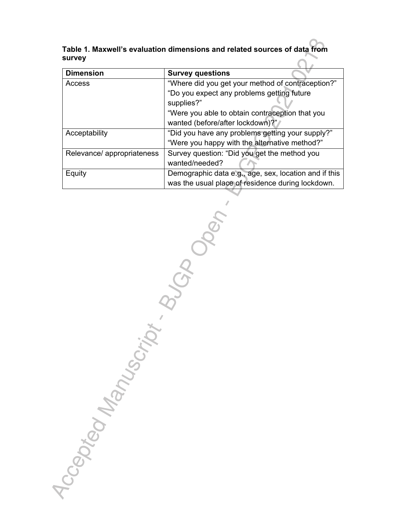**Table 1. Maxwell's evaluation dimensions and related sources of data from survey**

| <b>Dimension</b>           | <b>Survey questions</b>                               |  |  |
|----------------------------|-------------------------------------------------------|--|--|
| Access                     | "Where did you get your method of contraception?"     |  |  |
|                            | "Do you expect any problems getting future            |  |  |
|                            | supplies?"                                            |  |  |
|                            | "Were you able to obtain contraception that you       |  |  |
|                            | wanted (before/after lockdown)?"                      |  |  |
| Acceptability              | "Did you have any problems getting your supply?"      |  |  |
|                            | "Were you happy with the alternative method?"         |  |  |
| Relevance/ appropriateness | Survey question: "Did you get the method you          |  |  |
|                            | wanted/needed?                                        |  |  |
| Equity                     | Demographic data e.g., age, sex, location and if this |  |  |
|                            | was the usual place of residence during lockdown.     |  |  |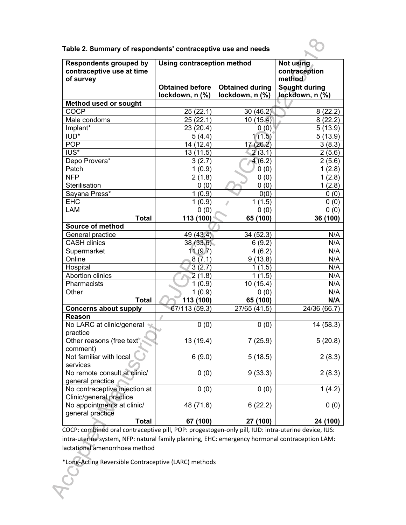| <b>Respondents grouped by</b><br>contraceptive use at time<br>of survey | Using contraception method | Not using<br>contraception<br>method |                 |
|-------------------------------------------------------------------------|----------------------------|--------------------------------------|-----------------|
|                                                                         | <b>Obtained before</b>     | <b>Obtained during</b>               | Sought during   |
|                                                                         | lockdown, n (%)            | lockdown, n (%)                      | lockdown, n (%) |
| <b>Method used or sought</b>                                            |                            |                                      |                 |
| <b>COCP</b>                                                             | 25(22.1)                   | 30(46.2)                             | 8(22.2)         |
| Male condoms                                                            | 25(22.1)                   | 10(15.4)                             | 8(22.2)         |
| Implant*                                                                | 23 (20.4)                  | 0(0)                                 | 5(13.9)         |
| IUD*                                                                    | 5(4.4)                     | 1(1.5)                               | 5(13.9)         |
| <b>POP</b>                                                              | 14 (12.4)                  | 17(26.2)                             | 3(8.3)          |
| IUS*                                                                    | 13(11.5)                   | 2(3.1)                               | 2(5.6)          |
| Depo Provera*                                                           | 3(2.7)                     | 4(6.2)                               | 2(5.6)          |
| Patch                                                                   | 1(0.9)                     | 0(0)                                 | 1(2.8)          |
| <b>NFP</b>                                                              | 2(1.8)                     | 0(0)                                 | 1(2.8)          |
| Sterilisation                                                           | 0(0)                       | 0(0)                                 | 1(2.8)          |
| Sayana Press*                                                           | 1(0.9)                     | 0(0)                                 | 0(0)            |
| <b>EHC</b>                                                              | 1(0.9)                     | 1(1.5)                               | 0(0)            |
| LAM                                                                     | 0(0)                       | 0(0)                                 | 0(0)            |
| <b>Total</b>                                                            | 113 (100)                  | 65 (100)                             | 36 (100)        |
| <b>Source of method</b>                                                 |                            |                                      |                 |
| General practice                                                        | 49 (43.4)                  | 34 (52.3)                            | N/A             |
| <b>CASH clinics</b>                                                     | 38(33.6)                   | 6(9.2)                               | N/A             |
| Supermarket                                                             | 11(9.7)                    | 4(6.2)                               | N/A             |
| Online                                                                  | 8(7.1)                     | 9(13.8)                              | N/A             |
| Hospital                                                                | 3(2.7)                     | 1(1.5)                               | N/A             |
| <b>Abortion clinics</b>                                                 | 2(1.8)                     | 1(1.5)                               | N/A             |
| Pharmacists                                                             | 1(0.9)                     | 10(15.4)                             | N/A             |
| Other                                                                   | 1(0.9)                     | 0(0)                                 | N/A             |
| <b>Total</b>                                                            | 113 (100)                  | 65 (100)                             | N/A             |
| <b>Concerns about supply</b>                                            | 67/113 (59.3)              | 27/65 (41.5)                         | 24/36 (66.7)    |
| Reason                                                                  | 1                          |                                      |                 |
| No LARC at clinic/general<br>practice                                   | 0(0)                       | 0(0)                                 | 14 (58.3)       |
| Other reasons (free text <sup>*</sup>                                   | 13 (19.4)                  | 7(25.9)                              | 5(20.8)         |
| comment)                                                                |                            |                                      |                 |
| Not familiar with local                                                 | 6(9.0)                     | 5(18.5)                              | 2(8.3)          |
| services                                                                |                            |                                      |                 |
| No remote consult at clinic/<br>general practice                        | 0(0)                       | 9(33.3)                              | 2(8.3)          |
| No contraceptive injection at                                           | 0(0)                       | 0(0)                                 | 1(4.2)          |
| Clinic/general practice                                                 |                            |                                      |                 |
| No appointments at clinic/                                              | 48 (71.6)                  | 6(22.2)                              | 0(0)            |
| general practice                                                        |                            |                                      |                 |
| <b>Total</b>                                                            | 67 (100)                   | 27 (100)                             | 24 (100)        |

**Table 2. Summary of respondents' contraceptive use and needs**

COCP: combined oral contraceptive pill, POP: progestogen-only pill, IUD: intra-uterine device, IUS: intra-uterine system, NFP: natural family planning, EHC: emergency hormonal contraception LAM: lactational amenorrhoea method

\*Long-Acting Reversible Contraceptive (LARC) methods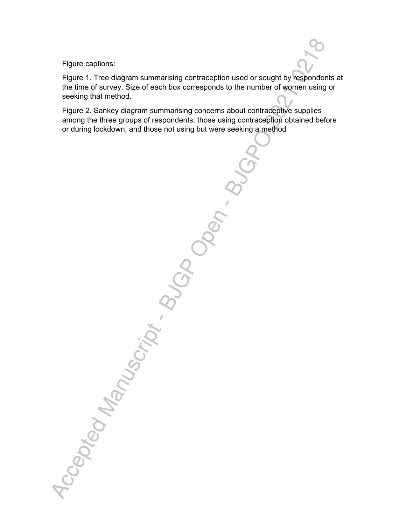Figure captions:

Figure 1. Tree diagram summarising contraception used or sought by respondents at the time of survey. Size of each box corresponds to the number of women using or seeking that method.

Figure 2. Sankey diagram summarising concerns about contraceptive supplies among the three groups of respondents: those using contraception obtained before

or during lockdown, and those not using but were seeking a method<br>or during lockdown, and those not using but were seeking a method<br>or  $\mathcal{O}(\mathcal{O}_{\mathcal{O}_{\mathcal{O}_{\mathcal{O}}}^{(1)})}$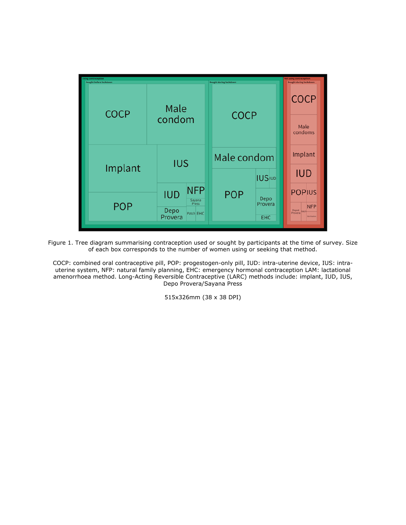

Figure 1. Tree diagram summarising contraception used or sought by participants at the time of survey. Size of each box corresponds to the number of women using or seeking that method.

COCP: combined oral contraceptive pill, POP: progestogen-only pill, IUD: intra-uterine device, IUS: intrauterine system, NFP: natural family planning, EHC: emergency hormonal contraception LAM: lactational amenorrhoea method. Long-Acting Reversible Contraceptive (LARC) methods include: implant, IUD, IUS, Depo Provera/Sayana Press

515x326mm (38 x 38 DPI)